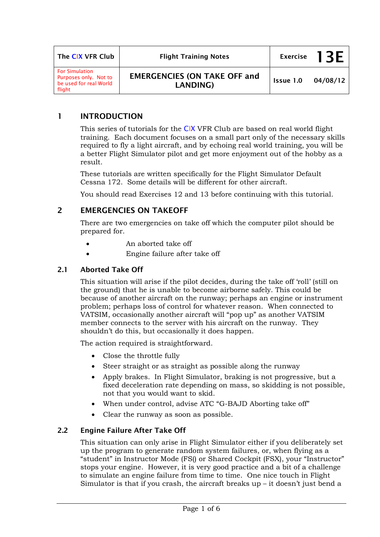| The CIX VFR Club                                                                   | <b>Flight Training Notes</b>                           | <b>Exercise</b> | 1 3 F    |
|------------------------------------------------------------------------------------|--------------------------------------------------------|-----------------|----------|
| <b>For Simulation</b><br>Purposes only. Not to<br>be used for real World<br>flight | <b>EMERGENCIES (ON TAKE OFF and</b><br><b>LANDING)</b> | Issue 1.0       | 04/08/12 |

## **1 INTRODUCTION**

This series of tutorials for the CIX VFR Club are based on real world flight training. Each document focuses on a small part only of the necessary skills required to fly a light aircraft, and by echoing real world training, you will be a better Flight Simulator pilot and get more enjoyment out of the hobby as a result.

These tutorials are written specifically for the Flight Simulator Default Cessna 172. Some details will be different for other aircraft.

You should read Exercises 12 and 13 before continuing with this tutorial.

# **2 EMERGENCIES ON TAKEOFF**

There are two emergencies on take off which the computer pilot should be prepared for.

- An aborted take off
- Engine failure after take off

### **2.1 Aborted Take Off**

This situation will arise if the pilot decides, during the take off 'roll' (still on the ground) that he is unable to become airborne safely. This could be because of another aircraft on the runway; perhaps an engine or instrument problem; perhaps loss of control for whatever reason. When connected to VATSIM, occasionally another aircraft will "pop up" as another VATSIM member connects to the server with his aircraft on the runway. They shouldn't do this, but occasionally it does happen.

The action required is straightforward.

- Close the throttle fully
- Steer straight or as straight as possible along the runway
- Apply brakes. In Flight Simulator, braking is not progressive, but a fixed deceleration rate depending on mass, so skidding is not possible, not that you would want to skid.
- When under control, advise ATC "G-BAJD Aborting take off"
- Clear the runway as soon as possible.

## **2.2 Engine Failure After Take Off**

This situation can only arise in Flight Simulator either if you deliberately set up the program to generate random system failures, or, when flying as a "student" in Instructor Mode (FS() or Shared Cockpit (FSX), your "Instructor" stops your engine. However, it is very good practice and a bit of a challenge to simulate an engine failure from time to time. One nice touch in Flight Simulator is that if you crash, the aircraft breaks up – it doesn't just bend a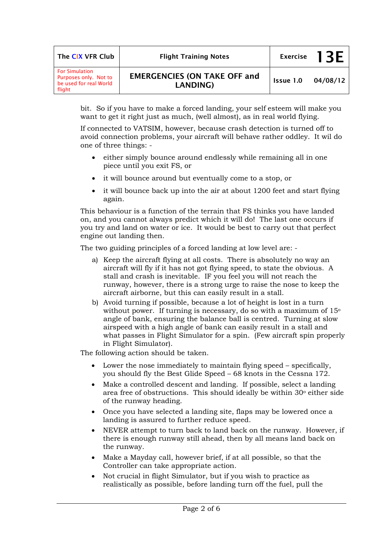| The CIX VFR Club                                                                   | <b>Flight Training Notes</b>                           |           | Exercise $13F$ |
|------------------------------------------------------------------------------------|--------------------------------------------------------|-----------|----------------|
| <b>For Simulation</b><br>Purposes only. Not to<br>be used for real World<br>flight | <b>EMERGENCIES (ON TAKE OFF and</b><br><b>LANDING)</b> | Issue 1.0 | 04/08/12       |

bit. So if you have to make a forced landing, your self esteem will make you want to get it right just as much, (well almost), as in real world flying.

If connected to VATSIM, however, because crash detection is turned off to avoid connection problems, your aircraft will behave rather oddley. It wil do one of three things: -

- either simply bounce around endlessly while remaining all in one piece until you exit FS, or
- it will bounce around but eventually come to a stop, or
- it will bounce back up into the air at about 1200 feet and start flying again.

This behaviour is a function of the terrain that FS thinks you have landed on, and you cannot always predict which it will do! The last one occurs if you try and land on water or ice. It would be best to carry out that perfect engine out landing then.

The two guiding principles of a forced landing at low level are: -

- a) Keep the aircraft flying at all costs. There is absolutely no way an aircraft will fly if it has not got flying speed, to state the obvious. A stall and crash is inevitable. IF you feel you will not reach the runway, however, there is a strong urge to raise the nose to keep the aircraft airborne, but this can easily result in a stall.
- b) Avoid turning if possible, because a lot of height is lost in a turn without power. If turning is necessary, do so with a maximum of 15<sup>°</sup> angle of bank, ensuring the balance ball is centred. Turning at slow airspeed with a high angle of bank can easily result in a stall and what passes in Flight Simulator for a spin. (Few aircraft spin properly in Flight Simulator).

The following action should be taken.

- Lower the nose immediately to maintain flying speed specifically, you should fly the Best Glide Speed – 68 knots in the Cessna 172.
- Make a controlled descent and landing. If possible, select a landing area free of obstructions. This should ideally be within 30o either side of the runway heading.
- Once you have selected a landing site, flaps may be lowered once a landing is assured to further reduce speed.
- NEVER attempt to turn back to land back on the runway. However, if there is enough runway still ahead, then by all means land back on the runway.
- Make a Mayday call, however brief, if at all possible, so that the Controller can take appropriate action.
- Not crucial in flight Simulator, but if you wish to practice as realistically as possible, before landing turn off the fuel, pull the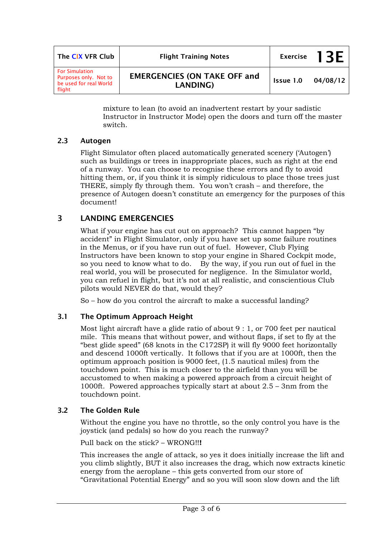| The CIX VFR Club                                                                   | <b>Flight Training Notes</b>                    |           | Exercise $13F$ |
|------------------------------------------------------------------------------------|-------------------------------------------------|-----------|----------------|
| <b>For Simulation</b><br>Purposes only. Not to<br>be used for real World<br>flight | <b>EMERGENCIES (ON TAKE OFF and</b><br>LANDING) | Issue 1.0 | 04/08/12       |

mixture to lean (to avoid an inadvertent restart by your sadistic Instructor in Instructor Mode) open the doors and turn off the master switch.

### **2.3 Autogen**

Flight Simulator often placed automatically generated scenery ('Autogen') such as buildings or trees in inappropriate places, such as right at the end of a runway. You can choose to recognise these errors and fly to avoid hitting them, or, if you think it is simply ridiculous to place those trees just THERE, simply fly through them. You won't crash – and therefore, the presence of Autogen doesn't constitute an emergency for the purposes of this document!

# **3 LANDING EMERGENCIES**

What if your engine has cut out on approach? This cannot happen "by accident" in Flight Simulator, only if you have set up some failure routines in the Menus, or if you have run out of fuel. However, Club Flying Instructors have been known to stop your engine in Shared Cockpit mode, so you need to know what to do. By the way, if you run out of fuel in the real world, you will be prosecuted for negligence. In the Simulator world, you can refuel in flight, but it's not at all realistic, and conscientious Club pilots would NEVER do that, would they?

So – how do you control the aircraft to make a successful landing?

#### **3.1 The Optimum Approach Height**

Most light aircraft have a glide ratio of about 9 : 1, or 700 feet per nautical mile. This means that without power, and without flaps, if set to fly at the "best glide speed" (68 knots in the C172SP) it will fly 9000 feet horizontally and descend 1000ft vertically. It follows that if you are at 1000ft, then the optimum approach position is 9000 feet, (1.5 nautical miles) from the touchdown point. This is much closer to the airfield than you will be accustomed to when making a powered approach from a circuit height of 1000ft. Powered approaches typically start at about 2.5 – 3nm from the touchdown point.

#### **3.2 The Golden Rule**

Without the engine you have no throttle, so the only control you have is the joystick (and pedals) so how do you reach the runway?

Pull back on the stick? – WRONG!!**!** 

This increases the angle of attack, so yes it does initially increase the lift and you climb slightly, BUT it also increases the drag, which now extracts kinetic energy from the aeroplane – this gets converted from our store of "Gravitational Potential Energy" and so you will soon slow down and the lift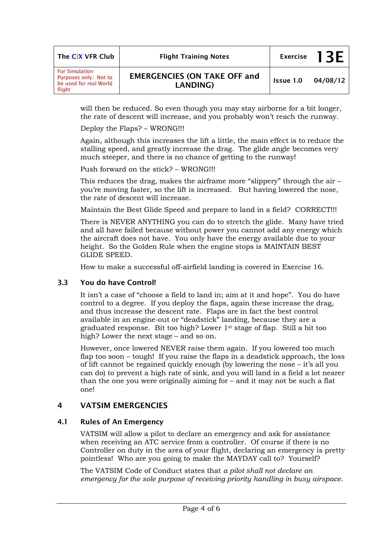| The CIX VFR Club                                                                   | <b>Flight Training Notes</b>                    | <b>Exercise</b> | 1 3 F    |
|------------------------------------------------------------------------------------|-------------------------------------------------|-----------------|----------|
| <b>For Simulation</b><br>Purposes only. Not to<br>be used for real World<br>flight | <b>EMERGENCIES (ON TAKE OFF and</b><br>LANDING) | Issue 1.0       | 04/08/12 |

will then be reduced. So even though you may stay airborne for a bit longer, the rate of descent will increase, and you probably won't reach the runway.

Deploy the Flaps? – WRONG!!!

Again, although this increases the lift a little, the main effect is to reduce the stalling speed, and greatly increase the drag. The glide angle becomes very much steeper, and there is no chance of getting to the runway!

Push forward on the stick? – WRONG!!!

This reduces the drag, makes the airframe more "slippery" through the air – you're moving faster, so the lift is increased. But having lowered the nose, the rate of descent will increase.

Maintain the Best Glide Speed and prepare to land in a field? CORRECT!!!

There is NEVER ANYTHING you can do to stretch the glide. Many have tried and all have failed because without power you cannot add any energy which the aircraft does not have. You only have the energy available due to your height. So the Golden Rule when the engine stops is MAINTAIN BEST GLIDE SPEED.

How to make a successful off-airfield landing is covered in Exercise 16.

#### **3.3 You do have Control!**

It isn't a case of "choose a field to land in; aim at it and hope". You do have control to a degree. If you deploy the flaps, again these increase the drag, and thus increase the descent rate. Flaps are in fact the best control available in an engine-out or "deadstick" landing, because they are a graduated response. Bit too high? Lower 1st stage of flap. Still a bit too high? Lower the next stage – and so on.

However, once lowered NEVER raise them again. If you lowered too much flap too soon – tough! If you raise the flaps in a deadstick approach, the loss of lift cannot be regained quickly enough (by lowering the nose – it's all you can do) to prevent a high rate of sink, and you will land in a field a lot nearer than the one you were originally aiming for – and it may not be such a flat one!

#### **4 VATSIM EMERGENCIES**

#### **4.1 Rules of An Emergency**

VATSIM will allow a pilot to declare an emergency and ask for assistance when receiving an ATC service from a controller. Of course if there is no Controller on duty in the area of your flight, declaring an emergency is pretty pointless! Who are you going to make the MAYDAY call to? Yourself?

The VATSIM Code of Conduct states that *a pilot shall not declare an emergency for the sole purpose of receiving priority handling in busy airspace*.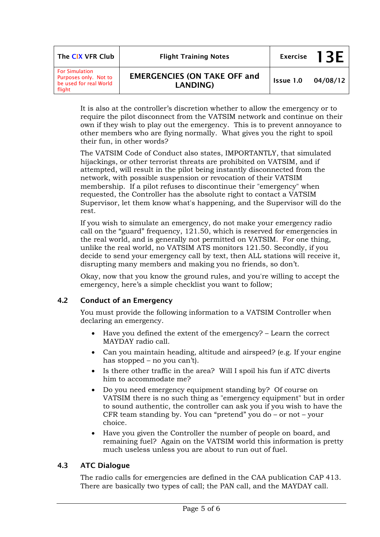| The CIX VFR Club                                                                   | <b>Flight Training Notes</b>                    |           | Exercise $13F$ |
|------------------------------------------------------------------------------------|-------------------------------------------------|-----------|----------------|
| <b>For Simulation</b><br>Purposes only. Not to<br>be used for real World<br>flight | <b>EMERGENCIES (ON TAKE OFF and</b><br>LANDING) | Issue 1.0 | 04/08/12       |

It is also at the controller's discretion whether to allow the emergency or to require the pilot disconnect from the VATSIM network and continue on their own if they wish to play out the emergency. This is to prevent annoyance to other members who are flying normally. What gives you the right to spoil their fun, in other words?

The VATSIM Code of Conduct also states, IMPORTANTLY, that simulated hijackings, or other terrorist threats are prohibited on VATSIM, and if attempted, will result in the pilot being instantly disconnected from the network, with possible suspension or revocation of their VATSIM membership. If a pilot refuses to discontinue their "emergency" when requested, the Controller has the absolute right to contact a VATSIM Supervisor, let them know what's happening, and the Supervisor will do the rest.

If you wish to simulate an emergency, do not make your emergency radio call on the "guard" frequency, 121.50, which is reserved for emergencies in the real world, and is generally not permitted on VATSIM. For one thing, unlike the real world, no VATSIM ATS monitors 121.50. Secondly, if you decide to send your emergency call by text, then ALL stations will receive it, disrupting many members and making you no friends, so don't.

Okay, now that you know the ground rules, and you're willing to accept the emergency, here's a simple checklist you want to follow;

## **4.2 Conduct of an Emergency**

You must provide the following information to a VATSIM Controller when declaring an emergency.

- Have you defined the extent of the emergency? Learn the correct MAYDAY radio call.
- Can you maintain heading, altitude and airspeed? (e.g. If your engine has stopped – no you can't).
- Is there other traffic in the area? Will I spoil his fun if ATC diverts him to accommodate me?
- Do you need emergency equipment standing by? Of course on VATSIM there is no such thing as "emergency equipment" but in order to sound authentic, the controller can ask you if you wish to have the CFR team standing by. You can "pretend" you do – or not – your choice.
- Have you given the Controller the number of people on board, and remaining fuel? Again on the VATSIM world this information is pretty much useless unless you are about to run out of fuel.

## **4.3 ATC Dialogue**

The radio calls for emergencies are defined in the CAA publication CAP 413. There are basically two types of call; the PAN call, and the MAYDAY call.